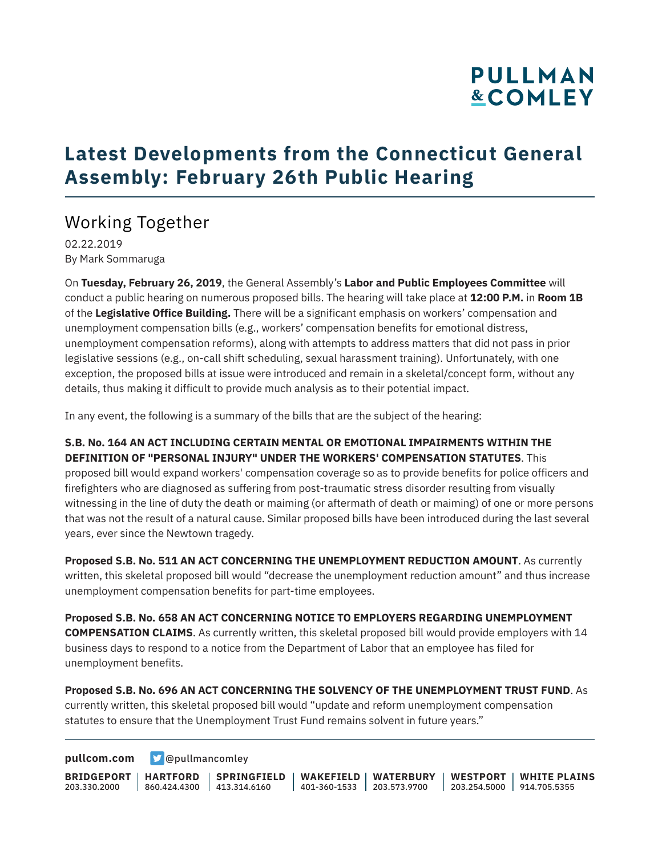# **PULLMAN &COMLEY**

### **Latest Developments from the Connecticut General Assembly: February 26th Public Hearing**

#### Working Together

02.22.2019 By Mark Sommaruga

On **Tuesday, February 26, 2019**, the General Assembly's **Labor and Public Employees Committee** will conduct a public hearing on numerous proposed bills. The hearing will take place at **12:00 P.M.** in **Room 1B** of the **Legislative Office Building.** There will be a significant emphasis on workers' compensation and unemployment compensation bills (e.g., workers' compensation benefits for emotional distress, unemployment compensation reforms), along with attempts to address matters that did not pass in prior legislative sessions (e.g., on-call shift scheduling, sexual harassment training). Unfortunately, with one exception, the proposed bills at issue were introduced and remain in a skeletal/concept form, without any details, thus making it difficult to provide much analysis as to their potential impact.

In any event, the following is a summary of the bills that are the subject of the hearing:

#### **S.B. No. 164 AN ACT INCLUDING CERTAIN MENTAL OR EMOTIONAL IMPAIRMENTS WITHIN THE DEFINITION OF "PERSONAL INJURY" UNDER THE WORKERS' COMPENSATION STATUTES**. This

proposed bill would expand workers' compensation coverage so as to provide benefits for police officers and firefighters who are diagnosed as suffering from post-traumatic stress disorder resulting from visually witnessing in the line of duty the death or maiming (or aftermath of death or maiming) of one or more persons that was not the result of a natural cause. Similar proposed bills have been introduced during the last several years, ever since the Newtown tragedy.

**Proposed S.B. No. 511 AN ACT CONCERNING THE UNEMPLOYMENT REDUCTION AMOUNT**. As currently written, this skeletal proposed bill would "decrease the unemployment reduction amount" and thus increase unemployment compensation benefits for part-time employees.

**Proposed S.B. No. 658 AN ACT CONCERNING NOTICE TO EMPLOYERS REGARDING UNEMPLOYMENT COMPENSATION CLAIMS**. As currently written, this skeletal proposed bill would provide employers with 14 business days to respond to a notice from the Department of Labor that an employee has filed for unemployment benefits.

**Proposed S.B. No. 696 AN ACT CONCERNING THE SOLVENCY OF THE UNEMPLOYMENT TRUST FUND**. As currently written, this skeletal proposed bill would "update and reform unemployment compensation statutes to ensure that the Unemployment Trust Fund remains solvent in future years."

**[pullcom.com](https://www.pullcom.com) g** [@pullmancomley](https://twitter.com/PullmanComley)

**BRIDGEPORT HARTFORD** 203.330.2000 860.424.4300 413.314.6160 **SPRINGFIELD WAKEFIELD WATERBURY** 401-360-1533 203.573.9700 **WESTPORT WHITE PLAINS** 203.254.5000 914.705.5355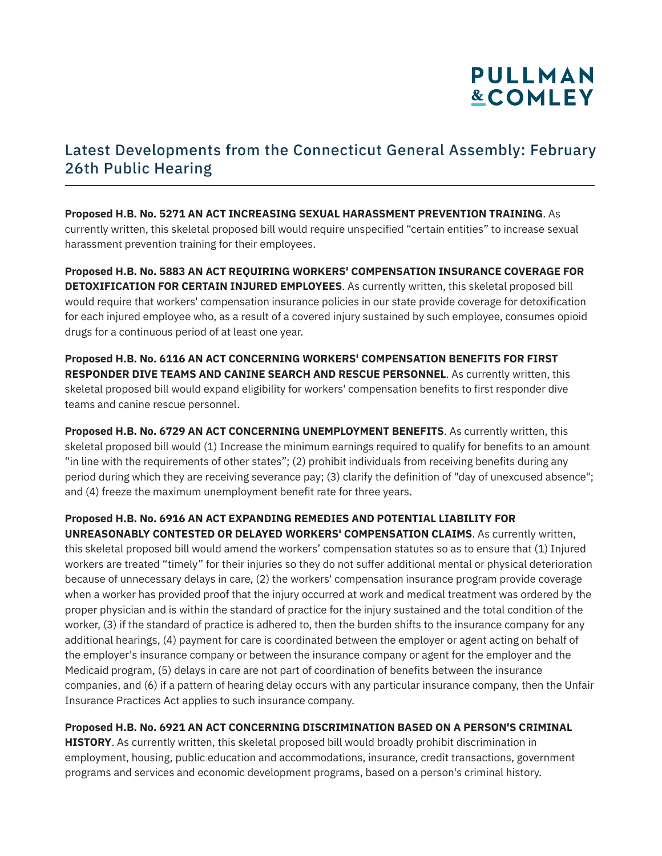## **PULLMAN &COMLEY**

#### Latest Developments from the Connecticut General Assembly: February 26th Public Hearing

**Proposed H.B. No. 5271 AN ACT INCREASING SEXUAL HARASSMENT PREVENTION TRAINING**. As currently written, this skeletal proposed bill would require unspecified "certain entities" to increase sexual harassment prevention training for their employees.

**Proposed H.B. No. 5883 AN ACT REQUIRING WORKERS' COMPENSATION INSURANCE COVERAGE FOR DETOXIFICATION FOR CERTAIN INJURED EMPLOYEES**. As currently written, this skeletal proposed bill would require that workers' compensation insurance policies in our state provide coverage for detoxification for each injured employee who, as a result of a covered injury sustained by such employee, consumes opioid drugs for a continuous period of at least one year.

**Proposed H.B. No. 6116 AN ACT CONCERNING WORKERS' COMPENSATION BENEFITS FOR FIRST RESPONDER DIVE TEAMS AND CANINE SEARCH AND RESCUE PERSONNEL**. As currently written, this skeletal proposed bill would expand eligibility for workers' compensation benefits to first responder dive teams and canine rescue personnel.

**Proposed H.B. No. 6729 AN ACT CONCERNING UNEMPLOYMENT BENEFITS**. As currently written, this skeletal proposed bill would (1) Increase the minimum earnings required to qualify for benefits to an amount "in line with the requirements of other states"; (2) prohibit individuals from receiving benefits during any period during which they are receiving severance pay; (3) clarify the definition of "day of unexcused absence"; and (4) freeze the maximum unemployment benefit rate for three years.

**Proposed H.B. No. 6916 AN ACT EXPANDING REMEDIES AND POTENTIAL LIABILITY FOR**

**UNREASONABLY CONTESTED OR DELAYED WORKERS' COMPENSATION CLAIMS**. As currently written, this skeletal proposed bill would amend the workers' compensation statutes so as to ensure that (1) Injured workers are treated "timely" for their injuries so they do not suffer additional mental or physical deterioration because of unnecessary delays in care, (2) the workers' compensation insurance program provide coverage when a worker has provided proof that the injury occurred at work and medical treatment was ordered by the proper physician and is within the standard of practice for the injury sustained and the total condition of the worker, (3) if the standard of practice is adhered to, then the burden shifts to the insurance company for any additional hearings, (4) payment for care is coordinated between the employer or agent acting on behalf of the employer's insurance company or between the insurance company or agent for the employer and the Medicaid program, (5) delays in care are not part of coordination of benefits between the insurance companies, and (6) if a pattern of hearing delay occurs with any particular insurance company, then the Unfair Insurance Practices Act applies to such insurance company.

**Proposed H.B. No. 6921 AN ACT CONCERNING DISCRIMINATION BASED ON A PERSON'S CRIMINAL**

**HISTORY**. As currently written, this skeletal proposed bill would broadly prohibit discrimination in employment, housing, public education and accommodations, insurance, credit transactions, government programs and services and economic development programs, based on a person's criminal history.